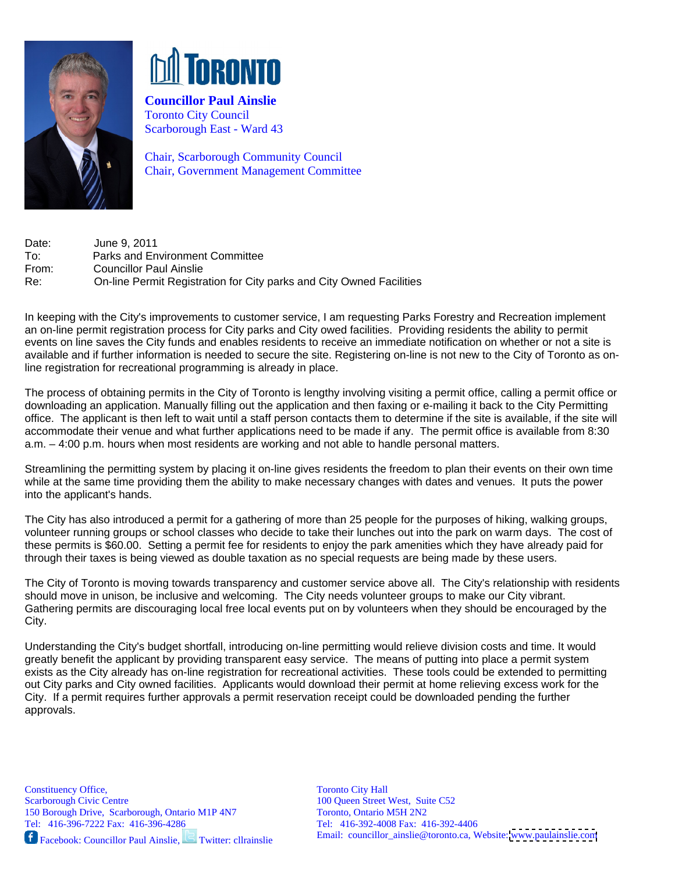



**Councillor Paul Ainslie**  Toronto City Council Scarborough East - Ward 43

Chair, Scarborough Community Council Chair, Government Management Committee

Date: June 9, 2011 To: Parks and Environment Committee From: Councillor Paul Ainslie Re: On-line Permit Registration for City parks and City Owned Facilities

In keeping with the City's improvements to customer service, I am requesting Parks Forestry and Recreation implement an on-line permit registration process for City parks and City owed facilities. Providing residents the ability to permit events on line saves the City funds and enables residents to receive an immediate notification on whether or not a site is available and if further information is needed to secure the site. Registering on-line is not new to the City of Toronto as online registration for recreational programming is already in place.

The process of obtaining permits in the City of Toronto is lengthy involving visiting a permit office, calling a permit office or downloading an application. Manually filling out the application and then faxing or e-mailing it back to the City Permitting office. The applicant is then left to wait until a staff person contacts them to determine if the site is available, if the site will accommodate their venue and what further applications need to be made if any. The permit office is available from 8:30 a.m. – 4:00 p.m. hours when most residents are working and not able to handle personal matters.

Streamlining the permitting system by placing it on-line gives residents the freedom to plan their events on their own time while at the same time providing them the ability to make necessary changes with dates and venues. It puts the power into the applicant's hands.

The City has also introduced a permit for a gathering of more than 25 people for the purposes of hiking, walking groups, volunteer running groups or school classes who decide to take their lunches out into the park on warm days. The cost of these permits is \$60.00. Setting a permit fee for residents to enjoy the park amenities which they have already paid for through their taxes is being viewed as double taxation as no special requests are being made by these users.<br>The City of Toronto is moving towards transparency and customer service above all. The City's relationship with r

should move in unison, be inclusive and welcoming. The City needs volunteer groups to make our City vibrant. Gathering permits are discouraging local free local events put on by volunteers when they should be encouraged by the City.

 Understanding the City's budget shortfall, introducing on-line permitting would relieve division costs and time. It would greatly benefit the applicant by providing transparent easy service. The means of putting into place a permit system exists as the City already has on-line registration for recreational activities. These tools could be extended to permitting out City parks and City owned facilities. Applicants would download their permit at home relieving excess work for the City. If a permit requires further approvals a permit reservation receipt could be downloaded pending the further approvals.

150 Borough Drive, Scarborough, Ontario M1P 4N7 Toronto, Ontario M5H 2N2<br>
1911 Tel: 416-396-7222 Fax: 416-396-4286 Tel: 416-392-4008 Fax: 41

Facebook: Councillor Paul Ainslie, Twitter: cllrainslie

Constituency Office, Scarborough Civic Centre Tel: 416-396-7222 Fax: 416-396-4286 Tel: 416-392-4008 Fax: 416-392-4406 Toronto City Hall 100 Queen Street West, Suite C52 Toronto, Ontario M5H 2N2 Email: councillor\_ainslie@toronto.ca, Website: [www.paulainslie.com](http://www.paulainslie.com)